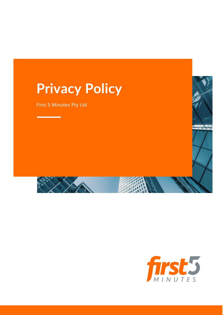# **Privacy Policy**

First 5 Minutes Pty Ltd

<u> 1970 - Johann Barnett, mars e</u>



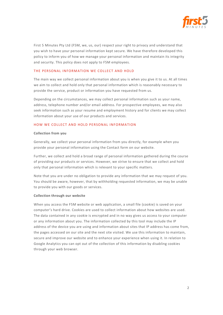

First 5 Minutes Pty Ltd (F5M, we, us, our) respect your right to privacy and understand that you wish to have your personal information kept secure. We have therefore developed this policy to inform you of how we manage your personal information and maintain its integrity and security. This policy does not apply to F5M employees.

#### THE PERSONAL INFORMATION WE COLLECT AND HOLD

The main way we collect personal information about you is when you give it to us. At all times we aim to collect and hold only that personal information which is reasonably necessary to provide the service, product or information you have requested from us.

Depending on the circumstances, we may collect personal information such as your name, address, telephone number and/or email address. For prospective employees, we may also seek information such as your resume and employment history and for clients we may collect information about your use of our products and services.

#### HOW WE COLLECT AND HOLD PERSONAL INFORMATION

#### **Collection from you**

Generally, we collect your personal information from you directly, for example when you provide your personal information using the Contact form on our website.

Further, we collect and hold a broad range of personal information gathered during the course of providing our products or services. However, we strive to ensure that we collect and hold only that personal information which is relevant to your specific matters.

Note that you are under no obligation to provide any information that we may request of you. You should be aware, however, that by withholding requested information, we may be unable to provide you with our goods or services.

#### **Collection through our website**

When you access the F5M website or web application, a small file (cookie) is saved on your computer's hard drive. Cookies are used to collect information about how websites are used. The data contained in any cookie is encrypted and in no way gives us access to your computer or any information about you. The information collected by this tool may include the IP address of the device you are using and information about sites that IP address has come from, the pages accessed on our site and the next site visited. We use this information to maintain, secure and improve our website and to enhance your experience when using it. In relation to Google Analytics you can opt out of the collection of this information by disabling cookies through your web browser.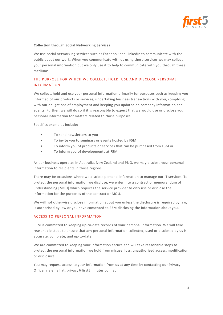

#### **Collection through Social Networking Services**

We use social networking services such as Facebook and LinkedIn to communicate with the public about our work. When you communicate with us using these services we may collect your personal information but we only use it to help to communicate with you through these mediums.

# THE PURPOSE FOR WHICH WE COLLECT, HOLD, USE AND DISCLOSE PERSONAL INFORMATION

We collect, hold and use your personal information primarily for purposes such as keeping you informed of our products or services, undertaking business transactions with you, complying with our obligations of employment and keeping you updated on company information and events. Further, we will do so if it is reasonable to expect that we would use or disclose your personal information for matters related to those purposes.

Specifics examples include:

- To send newsletters to you
- To invite you to seminars or events hosted by F5M
- To inform you of products or services that can be purchased from F5M or
- To inform you of developments at F5M.

As our business operates in Australia, New Zealand and PNG, we may disclose your personal information to recipients in those regions.

There may be occasions where we disclose personal information to manage our IT services. To protect the personal information we disclose, we enter into a contract or memorandum of understanding [MOU] which requires the service provider to only use or disclose the information for the purposes of the contract or MOU.

We will not otherwise disclose information about you unless the disclosure is required by law, is authorised by law or you have consented to F5M disclosing the information about you.

#### ACCESS TO PERSONAL INFORMATION

F5M is committed to keeping up-to-date records of your personal information. We will take reasonable steps to ensure that any personal information collected, used or disclosed by us is accurate, complete, and up-to-date.

We are committed to keeping your information secure and will take reasonable steps to protect the personal information we hold from misuse, loss, unauthorised access, modification or disclosure.

You may request access to your information from us at any time by contacting our Privacy Officer via email at: privacy@first5minutes.com.au